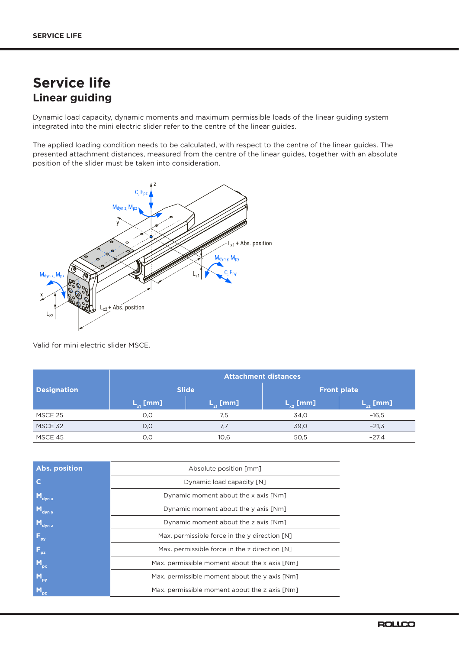# **Service life Linear guiding**

Dynamic load capacity, dynamic moments and maximum permissible loads of the linear guiding system integrated into the mini electric slider refer to the centre of the linear guides.

The applied loading condition needs to be calculated, with respect to the centre of the linear guides. The presented attachment distances, measured from the centre of the linear guides, together with an absolute position of the slider must be taken into consideration.



Valid for mini electric slider MSCE.

|                    | <b>Attachment distances</b> |              |                    |               |
|--------------------|-----------------------------|--------------|--------------------|---------------|
| <b>Designation</b> | <b>Slide</b>                |              | <b>Front plate</b> |               |
|                    | $L_{v1}$ [mm]               | $L_{1}$ [mm] | $L_{v2}$ [mm]      | $L_{22}$ [mm] |
| MSCE 25            | O, O                        | 7.5          | 34.0               | $-16.5$       |
| MSCE 32            | O, O                        | 7.7          | 39,0               | $-21,3$       |
| MSCE 45            | 0,0                         | 10,6         | 50,5               | $-27.4$       |

| <b>Abs. position</b>  | Absolute position [mm]                        |
|-----------------------|-----------------------------------------------|
| C                     | Dynamic load capacity [N]                     |
| Maynx                 | Dynamic moment about the x axis [Nm]          |
| $M_{\text{dyn y}}$    | Dynamic moment about the y axis [Nm]          |
| $M_{\text{dyn }z}$    | Dynamic moment about the z axis [Nm]          |
| $F_{\text{py}}$       | Max. permissible force in the y direction [N] |
| $F_{\rm pz}$          | Max. permissible force in the z direction [N] |
| $M_{px}$              | Max. permissible moment about the x axis [Nm] |
| $M_{\text{py}}$       | Max. permissible moment about the y axis [Nm] |
| <b>M<sub>p2</sub></b> | Max. permissible moment about the z axis [Nm] |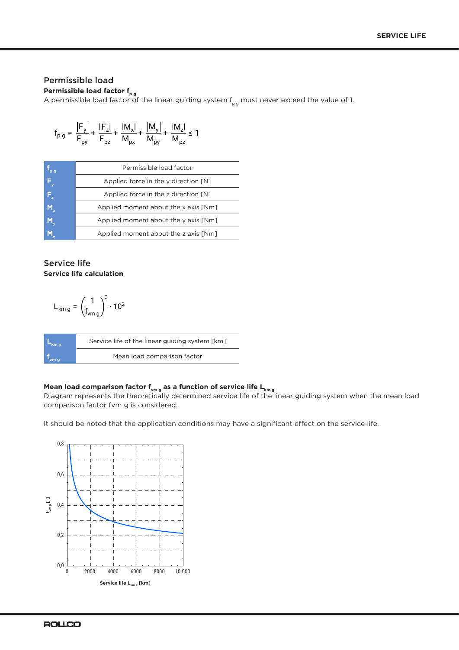### Permissible load

**Permissible load factor f<sub>p g</sub>** 

A permissible load factor of the linear guiding system  $f_{pg}$  must never exceed the value of 1.

$$
f_{pg} = \frac{|F_y|}{F_{py}} + \frac{|F_z|}{F_{pz}} + \frac{|M_x|}{M_{px}} + \frac{|M_y|}{M_{py}} + \frac{|M_z|}{M_{pz}} \le 1
$$

| pg                      | Permissible load factor                                |
|-------------------------|--------------------------------------------------------|
| $\mathsf{F}_\mathsf{y}$ | Applied force in the $\nu$ direction $\lceil N \rceil$ |
| $\mathsf{F}_\mathsf{z}$ | Applied force in the z direction [N]                   |
| M,                      | Applied moment about the x axis [Nm]                   |
| M,                      | Applied moment about the y axis [Nm]                   |
|                         | Applied moment about the z axis [Nm]                   |

#### Service life **Service life calculation**

$$
L_{km\,g} = \left(\frac{1}{f_{vm\,g}}\right)^3 \cdot 10^2
$$

| ˈkm ɑ | Service life of the linear guiding system [km] |
|-------|------------------------------------------------|
| vm q  | Mean load comparison factor                    |

#### Mean load comparison factor f<sub>vm g</sub> as a function of service life L<sub>km g</sub>

Diagram represents the theoretically determined service life of the linear guiding system when the mean load comparison factor fvm g is considered.

It should be noted that the application conditions may have a significant effect on the service life.

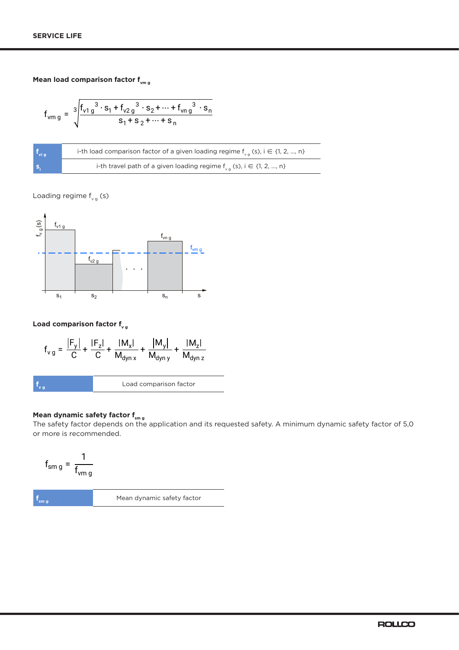### **Mean load comparison factor f<sub>vm g</sub>**

$$
f_{\nu m g} = \sqrt[3]{\frac{f_{\nu 1 g}^3 \cdot s_1 + f_{\nu 2 g}^3 \cdot s_2 + \dots + f_{\nu n g}^3 \cdot s_n}{s_1 + s_2 + \dots + s_n}}
$$

| $^{\bullet}$ vi g | i-th load comparison factor of a given loading regime $f_{\text{va}}(s)$ , i $\in \{1, 2, , n\}$ |
|-------------------|--------------------------------------------------------------------------------------------------|
| ۱S,               | i-th travel path of a given loading regime $f_{\nu}$ (s), i $\in$ {1, 2, , n}                    |

Loading regime  $f_{\text{vg}}(s)$ 



**Load comparison factor f<sub>v g</sub>** 

$$
f_{vg} = \frac{|F_y|}{C} + \frac{|F_z|}{C} + \frac{|M_x|}{M_{dyn\,x}} + \frac{|M_y|}{M_{dyn\,y}} + \frac{|M_z|}{M_{dyn\,z}}
$$
\n
$$
f_{vg}
$$
\nLoad comparison factor

#### **Mean dynamic safety factor f<sub>sm g</sub>**

The safety factor depends on the application and its requested safety. A minimum dynamic safety factor of 5,0 or more is recommended.

$$
f_{\rm sm\,g}=\frac{1}{f_{\rm vmg}}
$$

**f<sub>sm g</sub>** Mean dynamic safety factor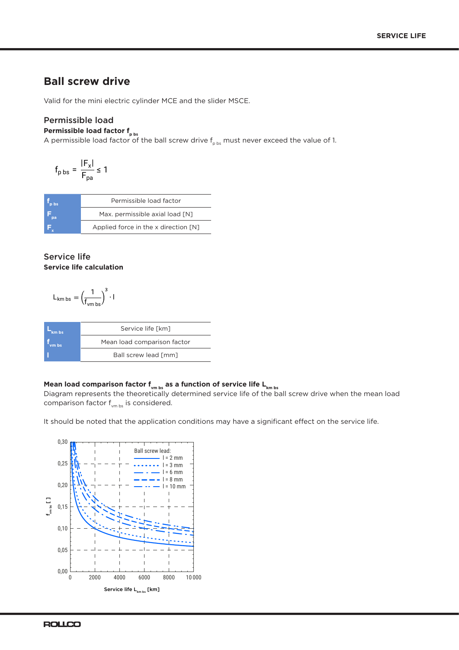### **Ball screw drive**

Valid for the mini electric cylinder MCE and the slider MSCE.

#### Permissible load Permissible load factor f<sub>p bs</sub>

A permissible load factor of the ball screw drive  $\mathsf{f}_{\mathsf{p}\, \mathsf{bs}}$  must never exceed the value of 1.

$$
f_{\text{p bs}} = \frac{|F_x|}{F_{\text{pa}}} \le 1
$$

| <b>p</b> bs | Permissible load factor              |
|-------------|--------------------------------------|
| ba          | Max. permissible axial load [N]      |
|             | Applied force in the x direction [N] |

#### Service life **Service life calculation**

$$
L_{km\,bs}=\left(\frac{1}{f_{vm\,bs}}\right)^3\cdot I
$$

| km bs | Service life [km]           |
|-------|-----------------------------|
| vm bs | Mean load comparison factor |
|       | Ball screw lead [mm]        |

#### Mean load comparison factor f<sub>vm bs</sub> as a function of service life L<sub>km bs</sub>

Diagram represents the theoretically determined service life of the ball screw drive when the mean load comparison factor  $f_{vmbs}$  is considered.

It should be noted that the application conditions may have a significant effect on the service life.

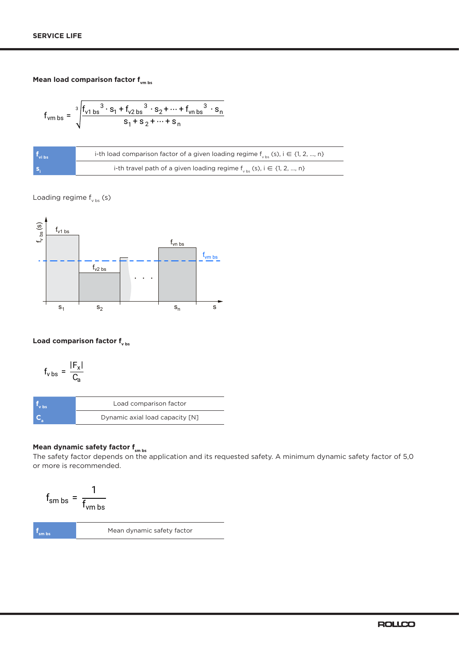## **Mean load comparison factor f**<sub>vm bs</sub>

$$
f_{\text{vm bs}} = \sqrt[3]{\frac{f_{v1bs}^3 \cdot s_1 + f_{v2bs}^3 \cdot s_2 + \dots + f_{\text{vn bs}}^3 \cdot s_n}{s_1 + s_2 + \dots + s_n}}
$$

| vi bs | i-th load comparison factor of a given loading regime $f_{\text{wbs}}(s)$ , i $\in \{1, 2, , n\}$ |
|-------|---------------------------------------------------------------------------------------------------|
| S.    | i-th travel path of a given loading regime $f_{\text{obs}}$ (s), i $\in$ {1, 2, , n}              |

## Loading regime  $f_{\text{v bs}}$  (s)



#### Load comparison factor f<sub>v bs</sub>

$$
f_{\rm v\,bs} = \frac{|F_{\rm x}|}{C_{\rm a}}
$$

| bs | Load comparison factor          |
|----|---------------------------------|
|    | Dynamic axial load capacity [N] |

#### **Mean dynamic safety factor f<sub>sm bs</sub>**

The safety factor depends on the application and its requested safety. A minimum dynamic safety factor of 5,0 or more is recommended.

$$
f_{smbs} = \frac{1}{f_{vmbs}}
$$
  

$$
f_{smbs}
$$
  
Mean dynamic safety factor